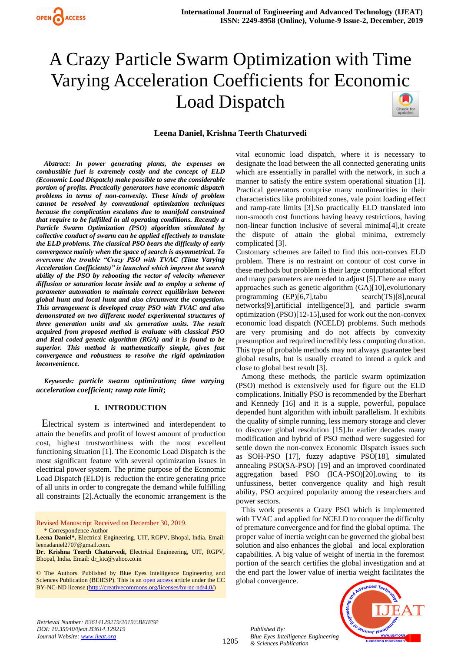



# **Leena Daniel, Krishna Teerth Chaturvedi**

*Abstract***:** *In power generating plants, the expenses on combustible fuel is extremely costly and the concept of ELD (Economic Load Dispatch) make possible to save the considerable portion of profits. Practically generators have economic dispatch problems in terms of non-convexity. These kinds of problem cannot be resolved by conventional optimization techniques because the complication escalates due to manifold constrained that require to be fulfilled in all operating conditions. Recently a Particle Swarm Optimization (PSO) algorithm stimulated by collective conduct of swarm can be applied effectively to translate the ELD problems. The classical PSO bears the difficulty of early convergence mainly when the space of search is asymmetrical. To overcome the trouble "Crazy PSO with TVAC (Time Varying Acceleration Coefficients)" is launched which improve the search ability of the PSO by [rebooti](https://www.synonyms.com/synonym/reboot)ng the vector of velocity whenever diffusion or saturation locate inside and to employ a scheme of parameter automation to maintain correct equilibrium between global hunt and local hunt and also circumvent the congestion. This arrangement is developed crazy PSO with TVAC and also demonstrated on two different model experimental structures of three generation units and six generation units. The result acquired from proposed method is evaluate with classical PSO and Real coded genetic algorithm (RGA) and it is found to be superior. This method is mathematically simple, gives fast convergence and robustness to resolve the rigid optimization inconvenience.*

*Keywords: particle swarm optimization; time varying acceleration coefficient; ramp rate limit***;**

#### **I. INTRODUCTION**

Electrical system is intertwined and interdependent to attain the benefits and profit of lowest amount of production cost, highest trustworthiness with the most excellent functioning situation [1]. The Economic Load Dispatch is the most significant feature with several optimization issues in electrical power system. The prime purpose of the Economic Load Dispatch (ELD) is [reduction](https://www.synonyms.com/synonym/reduction) the entire generating price of all units in order to congregate the demand while fulfilling all constraints [2].Actually the economic arrangement is the

Revised Manuscript Received on December 30, 2019. \* Correspondence Author

© The Authors. Published by Blue Eyes Intelligence Engineering and Sciences Publication (BEIESP). This is a[n open access](https://www.openaccess.nl/en/open-publications) article under the CC BY-NC-ND license [\(http://creativecommons.org/licenses/by-nc-nd/4.0/\)](http://creativecommons.org/licenses/by-nc-nd/4.0/)

vital economic load dispatch, where it is necessary to designate the load between the all connected generating units which are essentially in parallel with the network, in such a manner to satisfy the entire system operational situation [1]. Practical generators comprise many nonlinearities in their characteristics like prohibited zones, vale point loading effect and ramp-rate limits [3].So practically ELD translated into non-smooth cost functions having heavy restrictions, having non-linear function inclusive of several minima[4],it create the dispute of attain the global minima, extremely complicated [3].

Customary schemes are failed to find this non-convex ELD problem. There is no restraint on contour of cost curve in these methods but problem is their large computational effort and many parameters are needed to adjust [5].There are many approaches such as genetic algorithm (GA)[10],evolutionary programming (EP)[6,7],tabu search(TS)[8],neural networks[9],artificial intelligence[3], and particle swarm optimization (PSO)[12-15],used for work out the non-convex economic load dispatch (NCELD) problems. Such methods are very promising and do not affects by convexity presumption and required incredibly less [computing](https://www.synonyms.com/synonym/computing) duration. This type of probable methods may not always guarantee best global results, but is usually created to intend a quick and close to global best result [3].

Among these methods, the particle swarm optimization (PSO) method is extensively used for figure out the ELD complications. Initially PSO is recommended by the Eberhart and Kennedy [16] and it is a supple, powerful, populace depended hunt algorithm with inbuilt parallelism. It exhibits the quality of simple running, less memory storage and clever to discover global resolution [15].In earlier decades many modification and hybrid of PSO method were suggested for settle down the non-convex Economic Dispatch issues such as SOH-PSO [17], fuzzy adaptive PSO[18], simulated annealing PSO(SA-PSO) [19] and an improved coordinated aggregation based PSO (ICA-PSO)[20].owing to its unfussiness, better convergence quality and high result ability, PSO acquired popularity among the researchers and power sectors.

This work presents a Crazy PSO which is implemented with TVAC and applied for NCELD to conquer the difficulty of premature convergence and for find the global optima. The proper value of inertia weight can be governed the global best solution and also enhances the global and local exploration capabilities. A big value of weight of inertia in the foremost portion of the search certifies the global investigation and at the end part the lower value of inertia weight facilitates the global convergence.

*Retrieval Number: B3614129219/2019©BEIESP DOI: 10.35940/ijeat.B3614.129219 Journal Website[: www.ijeat.org](http://www.ijeat.org/)*

1205



**Leena Daniel\*,** Electrical Engineering, UIT, RGPV, Bhopal, India. Email: leenadaniel2707@gmail.com.

**Dr. Krishna Teerth Chaturvedi,** Electrical Engineering, UIT, RGPV, Bhopal, India. Email: dr\_ktc@yahoo.co.in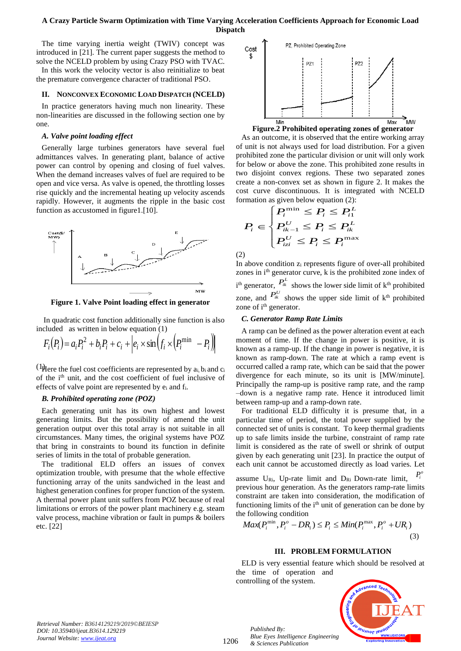The time varying inertia weight (TWIV) concept was introduced in [21]. The current paper suggests the method to solve the NCELD problem by using Crazy PSO with TVAC.

In this work the velocity vector is also reinitialize to beat the premature convergence character of traditional PSO.

## **II. NONCONVEX ECONOMIC LOAD DISPATCH (NCELD)**

In practice generators having much non linearity. These non-linearities are discussed in the following section one by one.

# *A. Valve point loading effect*

Generally large turbines generators have several fuel admittances valves. In generating plant, balance of active power can control by opening and closing of fuel valves. When the demand increases valves of fuel are required to be open and vice versa. As valve is opened, the throttling losses rise quickly and the incremental heating up velocity ascends rapidly. However, it augments the ripple in the basic cost function as accustomed in figure1.[10].



**Figure 1. Valve Point loading effect in generator**

In quadratic cost function additionally sine function is also included as written in below equation (1)

$$
F_i(P_i) = a_i P_i^2 + b_i P_i + c_i + \left| e_i \times \sin\left(f_i \times \left(P_i^{\min} - P_i\right)\right) \right|
$$

( $\mu$ Here the fuel cost coefficients are represented by a<sub>i</sub> b<sub>i</sub> and c<sub>i</sub> of the i<sup>th</sup> unit, and the cost coefficient of fuel inclusive of effects of valve point are represented by  $e_i$  and  $f_i$ .

#### *B. Prohibited operating zone (POZ)*

Each generating unit has its own highest and lowest generating limits. But the possibility of amend the unit generation output over this total array is not suitable in all circumstances. Many times, the original systems have POZ that bring in constraints to bound its function in definite series of limits in the total of probable generation.

The traditional ELD offers an issues of convex optimization trouble, with presume that the whole effective functioning array of the units sandwiched in the least and highest generation confines for proper function of the system. A thermal power plant unit suffers from POZ because of real limitations or errors of the power plant machinery e.g. steam valve process, machine vibration or fault in pumps & boilers etc. [22]



**Figure.2 Prohibited operating zones of generator**

As an outcome, it is observed that the entire working array of unit is not always used for load distribution. For a given prohibited zone the particular division or unit will only work for below or above the zone. This prohibited zone results in two disjoint convex regions. These two separated zones create a non-convex set as shown in figure 2. It makes the cost curve discontinuous. It is integrated with NCELD formation as given below equation (2):

$$
P_i \in \begin{cases} P_i^{\min} \le P_i \le P_i^L\\ P_{ik-1}^U \le P_i \le P_{ik}^L\\ P_{izi}^U \le P_i \le P_i^{\max}\end{cases}
$$

(2)

In above condition z<sup>i</sup> represents figure of over-all prohibited zones in i<sup>th</sup> generator curve, k is the prohibited zone index of  $i<sup>th</sup>$  generator,  $P_{ik}^L$  shows the lower side limit of  $k<sup>th</sup>$  prohibited zone, and  $P_{ik}^{U}$  shows the upper side limit of  $k^{th}$  prohibited zone of i<sup>th</sup> generator.

## *C. Generator Ramp Rate Limits*

A ramp can be defined as the power alteration event at each moment of time. If the change in power is positive, it is known as a ramp-up. If the change in power is negative, it is known as ramp-down. The rate at which a ramp event is occurred called a ramp rate, which can be said that the power divergence for each minute, so its unit is [MW/minute]. Principally the ramp-up is positive ramp rate, and the ramp –down is a negative ramp rate. Hence it introduced limit between ramp-up and a ramp-down rate.

For traditional ELD difficulty it is presume that, in a particular time of period, the total power supplied by the connected set of units is constant. To keep thermal gradients up to safe limits inside the turbine, constraint of ramp rate limit is considered as the rate of swell or shrink of output given by each generating unit [23]. In practice the output of each unit cannot be accustomed directly as load varies. Let assume  $U_{\text{Ri}}$ , Up-rate limit and  $D_{\text{Ri}}$  Down-rate limit,  $P_i^o$ previous hour generation. As the generators ramp-rate limits constraint are taken into consideration, the modification of

the following condition  
\n
$$
Max(P_i^{\min}, P_i^o - DR_i) \le P_i \le Min(P_i^{\max}, P_i^o + UR_i)
$$
\n(3)

functioning limits of the i<sup>th</sup> unit of generation can be done by

# **III. PROBLEM FORMULATION**

ELD is very essential feature which should be resolved at the time of operation and controlling of the system.



1206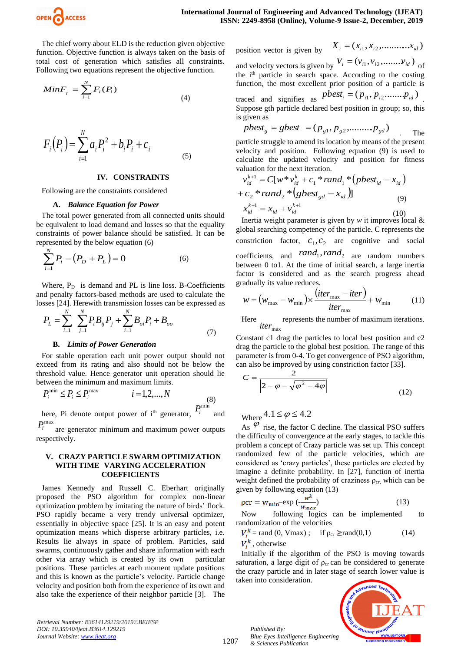

The chief worry about ELD is the reduction given objective function. Objective function is always taken on the basis of total cost of generation which satisfies all constraints. Following two equations represent the objective function.

$$
MinF_{T} = \sum_{i=1}^{N} F_{i}(P_{i})
$$
\n(4)

$$
F_i(P_i) = \sum_{i=1}^{N} a_i P_i^2 + b_i P_i + c_i
$$
\n(5)

#### **IV. CONSTRAINTS**

Following are the constraints considered

#### **A.** *Balance Equation for Power*

The total power generated from all connected units should be equivalent to load demand and losses so that the equality constraints of power balance should be satisfied. It can be represented by the below equation (6)

$$
\sum_{i=1}^{N} P_i - (P_D + P_L) = 0 \tag{6}
$$

Where,  $P_D$  is demand and PL is line loss. B-Coefficients and penalty factors-based methods are used to calculate the losses [24]. Herewith transmission losses can be expressed as

$$
P_{L} = \sum_{i=1}^{N} \sum_{j=1}^{N} P_{i} B_{ij} P_{j} + \sum_{i=1}^{N} B_{oi} P_{i} + B_{oo}
$$
\n(7)

#### **B.** *Limits of Power Generation*

For stable operation each unit power output should not exceed from its rating and also should not be below the threshold value. Hence generator unit operation should lie between the minimum and maximum limits.

$$
P_i^{\min} \le P_i \le P_i^{\max} \qquad i = 1, 2, \dots, N \tag{8}
$$

here, Pi denote output power of i<sup>th</sup> generator,  $P_i^{\text{min}}$ and

 $P_i^{\text{max}}$  are generator minimum and maximum power outputs respectively.

# **V. CRAZY PARTICLE SWARM OPTIMIZATION WITH TIME VARYING ACCELERATION COEFFICIENTS**

James Kennedy and Russell C. Eberhart originally proposed the PSO algorithm for complex non-linear optimization problem by imitating the nature of birds' flock. PSO rapidly became a very trendy universal optimizer, essentially in objective space [25]. It is an easy and potent optimization means which disperse arbitrary particles, i.e. Results lie always in space of problem. Particles, said swarms, continuously gather and share information with each other via array which is created by its own particular positions. These particles at each moment update positions and this is known as the particle's velocity. Particle change velocity and position both from the experience of its own and also take the experience of their neighbor particle [3]. The position vector is given by  $X_i = (x_{i1}, x_{i2}, \dots, x_{id})$ and velocity vectors is given by  $V_i = (v_{i1}, v_{i2}, \dots, v_{id})$  of the i<sup>th</sup> particle in search space. According to the costing

function, the most excellent prior position of a particle is traced and signifies as  $pbest_i = (p_{i1}, p_{i2} \dots p_{id})$ . Suppose gth particle declared best position in group; so, this is given as

$$
pbestg = gbest = (pg1, pg2, \dots, pgd)
$$
 The

particle struggle to amend its location by means of the present velocity and position. Following equation (9) is used to calculate the updated velocity and position for fitness valuation for the next iteration.

$$
v_{id}^{k+1} = C[w * v_{id}^k + c_1 * rand_1 * (pbest_{id} - x_{id})
$$
  
+  $c_2 * rand_2 * (gbest_{gd} - x_{id})$ ]  

$$
x_{id}^{k+1} = x_{id} + v_{id}^{k+1}
$$
  
(10)

Inertia weight parameter is given by *w* it improves local & global searching competency of the particle. C represents the constriction factor,  $c_1, c_2$  are cognitive and social coefficients, and  $rand_1, rand_2$  are random numbers between 0 to1. At the time of initial search, a large inertia factor is considered and as the search progress ahead gradually its value reduces.

$$
w = (w_{\text{max}} - w_{\text{min}}) \times \frac{(iter_{\text{max}} - iter)}{iter_{\text{max}}} + w_{\text{min}} \tag{11}
$$

Here *iter*<sub>max</sub> represents the number of maximum iterations.

Constant c1 drag the particles to local best position and c2 drag the particle to the global best position. The range of this parameter is from 0-4. To get convergence of PSO algorithm, can also be improved by using constriction factor [33].

$$
C = \frac{2}{\left|2 - \varphi - \sqrt{\varphi^2 - 4\varphi}\right|}
$$
\n(12)

Where  $4.1 \le \varphi \le 4.2$ 

As  $\varphi$  rise, the factor C decline. The classical PSO suffers the difficulty of convergence at the early stages, to tackle this problem a concept of Crazy particle was set up. This concept randomized few of the particle velocities, which are considered as 'crazy particles', these particles are elected by imagine a definite probability. In [27], function of inertia weight defined the probability of craziness  $\rho_{cr}$ , which can be given by following equation (13)

$$
\rho cr = w_{\min} - \exp\left(-\frac{w^k}{w_{\max}}\right) \tag{13}
$$

Now following logics can be implemented to randomization of the velocities

$$
V_j^k = \text{rand}(0, \text{Vmax}) \; ; \quad \text{if } \rho_{\text{cr}} \ge \text{rand}(0,1) \tag{14}
$$
  

$$
V_j^k \text{, otherwise}
$$

Initially if the algorithm of the PSO is moving towards saturation, a large digit of  $\rho_{cr}$  can be considered to generate the crazy particle and in later stage of search lower value is taken into consideration.

*Retrieval Number: B3614129219/2019©BEIESP DOI: 10.35940/ijeat.B3614.129219 Journal Website[: www.ijeat.org](http://www.ijeat.org/)*

1207

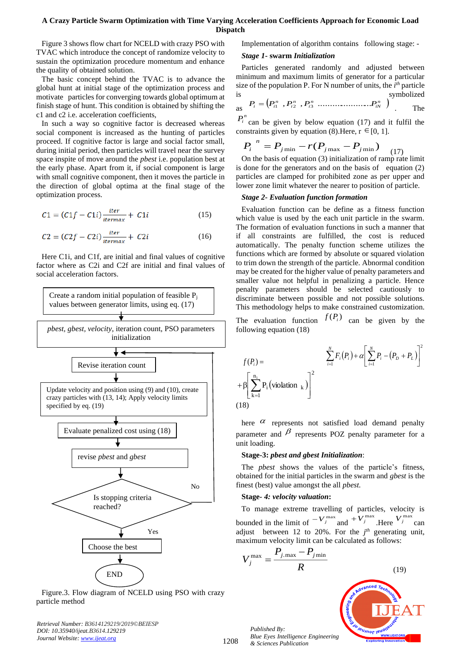Figure 3 shows flow chart for NCELD with crazy PSO with TVAC which introduce the concept of randomize velocity to sustain the optimization procedure momentum and enhance the quality of obtained solution.

The basic concept behind the TVAC is to advance the global hunt at initial stage of the optimization process and motivate particles for converging towards global optimum at finish stage of hunt. This condition is obtained by shifting the c1 and c2 i.e. acceleration coefficients,

In such a way so cognitive factor is decreased whereas social component is increased as the hunting of particles proceed. If cognitive factor is large and social factor small, during initial period, then particles will travel near the survey space inspite of move around the *pbest* i.e. population best at the early phase. Apart from it, if social component is large with small cognitive component, then it moves the particle in the direction of global optima at the final stage of the optimization process.

$$
C1 = (C1f - C1i) \frac{iter}{itermax} + C1i
$$
 (15)

$$
C2 = (C2f - C2i) \frac{iter}{itermax} + C2i \tag{16}
$$

Here C1i, and C1f, are initial and final values of cognitive factor where as C2i and C2f are initial and final values of social acceleration factors.



Figure.3. Flow diagram of NCELD using PSO with crazy particle method

*Retrieval Number: B3614129219/2019©BEIESP DOI: 10.35940/ijeat.B3614.129219 Journal Website[: www.ijeat.org](http://www.ijeat.org/)*

Implementation of algorithm contains following stage: -

#### *Stage 1***- swarm** *Initialization*

Particles generated randomly and adjusted between minimum and maximum limits of generator for a particular size of the population P. For N number of units, the  $i<sup>th</sup>$  particle symbolized

as 
$$
P_i = (P_{i1}^n, P_{i2}^n, P_{i3}^n, \dots, P_{iN}^n)
$$
 The

 $P_i^n$  can be given by below equation (17) and it fulfil the constraints given by equation (8). Here,  $r \in [0, 1]$ .

$$
P_i^{\ \ n} = P_{j\,\text{min}} - r(P_{j\,\text{max}} - P_{j\,\text{min}}) \tag{17}
$$

On the basis of equation (3) initialization of ramp rate limit is done for the generators and on the basis of equation (2) particles are clamped for prohibited zone as per upper and lower zone limit whatever the nearer to position of particle.

#### *Stage 2- Evaluation function formation*

Evaluation function can be define as a fitness function which value is used by the each unit particle in the swarm. The formation of evaluation functions in such a manner that if all constraints are fulfilled, the cost is reduced automatically. The penalty function scheme utilizes the functions which are formed by absolute or squared violation to trim down the strength of the particle. Abnormal condition may be created for the higher value of penalty parameters and smaller value not helpful in penalizing a particle. Hence penalty parameters should be selected cautiously to discriminate between possible and not possible solutions. This methodology helps to make constrained customization.

The evaluation function  $f(P_i)$  can be given by the following equation (18)

$$
f(P_i) = \sum_{i=1}^{N} F_i(P_i) + \alpha \left[ \sum_{i=1}^{N} P_i - (P_D + P_L) \right]^2
$$
  
+  $\beta \left[ \sum_{k=1}^{n_i} P_i \left( \text{violation }_{k} \right) \right]^2$   
(18)

here  $\alpha$  represents not satisfied load demand penalty parameter and  $\beta$  represents POZ penalty parameter for a unit loading.

#### **Stage-3:** *pbest and gbest Initialization*:

The *pbest* shows the *v*alues of the particle's fitness, obtained for the initial particles in the swarm and *gbest* is the finest (best) value amongst the all *pbest.*

#### **Stage***- 4: velocity valuation***:**

To manage extreme travelling of particles, velocity is bounded in the limit of  $-V_j^{\max}$  and  $+V_j^{\max}$ . Here  $V_j^{\max}$  can adjust between 12 to 20%. For the  $j<sup>th</sup>$  generating unit, maximum velocity limit can be calculated as follows:

$$
V_j^{\max} = \frac{P_{j.\max} - P_{j\min}}{R}
$$

(19)

*Published By: Blue Eyes Intelligence Engineering & Sciences Publication* 

1208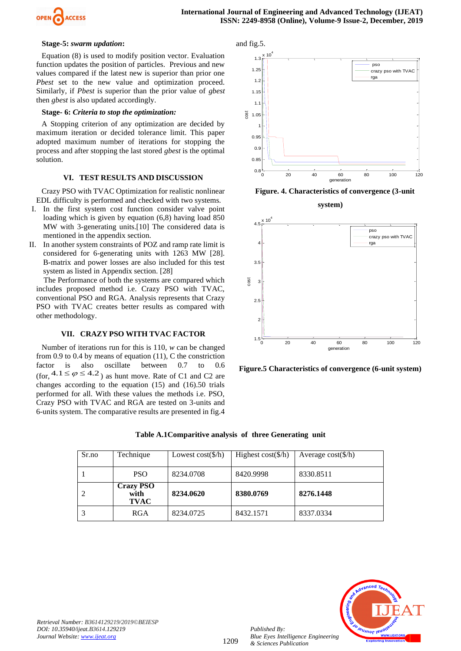

#### **Stage-5:** *swarm updation***:**

Equation (8) is used to modify position vector. Evaluation function updates the position of particles. Previous and new values compared if the latest new is superior than prior one *Pbest* set to the new value and optimization proceed. Similarly, if *Pbest* is superior than the prior value of *gbest* then *gbest* is also updated accordingly.

## **Stage- 6:** *Criteria to stop the optimization:*

A Stopping criterion of any optimization are decided by maximum iteration or decided tolerance limit. This paper adopted maximum number of iterations for stopping the process and after stopping the last stored *gbest* is the optimal solution.

#### **VI. TEST RESULTS AND DISCUSSION**

Crazy PSO with TVAC Optimization for realistic nonlinear EDL difficulty is performed and checked with two systems.

- I. In the first system cost function consider valve point loading which is given by equation (6,8) having load 850 MW with 3-generating units.[10] The considered data is mentioned in the appendix section.
- II. In another system constraints of POZ and ramp rate limit is considered for 6-generating units with 1263 MW [28]. B-matrix and power losses are also included for this test system as listed in Appendix section. [28]

The Performance of both the systems are compared which includes proposed method i.e. Crazy PSO with TVAC, conventional PSO and RGA. Analysis represents that Crazy PSO with TVAC creates better results as compared with other methodology.

#### **VII. CRAZY PSO WITH TVAC FACTOR**

Number of iterations run for this is 110, *w* can be changed from 0.9 to 0.4 by means of equation (11), C the constriction factor is also oscillate between 0.7 to 0.6 (for,  $4.1 \le \varphi \le 4.2$ ) as hunt move. Rate of C1 and C2 are changes according to the equation (15) and (16).50 trials performed for all. With these values the methods i.e. PSO, Crazy PSO with TVAC and RGA are tested on 3-units and 6-units system. The comparative results are presented in fig.4



**Figure. 4. Characteristics of convergence (3-unit** 

**system)**



**Figure.5 Characteristics of convergence (6-unit system)**

|  |  |  |  |  | Table A.1 Comparitive analysis of three Generating unit |  |
|--|--|--|--|--|---------------------------------------------------------|--|
|--|--|--|--|--|---------------------------------------------------------|--|

| Sr.no | Technique                               | Lowest $cost(\$/h)$ | Highest $cost(\$/h)$ | Average $cost(\frac{5}{h})$ |
|-------|-----------------------------------------|---------------------|----------------------|-----------------------------|
|       | <b>PSO</b>                              | 8234.0708           | 8420.9998            | 8330.8511                   |
|       | <b>Crazy PSO</b><br>with<br><b>TVAC</b> | 8234.0620           | 8380.0769            | 8276.1448                   |
| 3     | <b>RGA</b>                              | 8234.0725           | 8432.1571            | 8337.0334                   |



*Published By:*

*& Sciences Publication*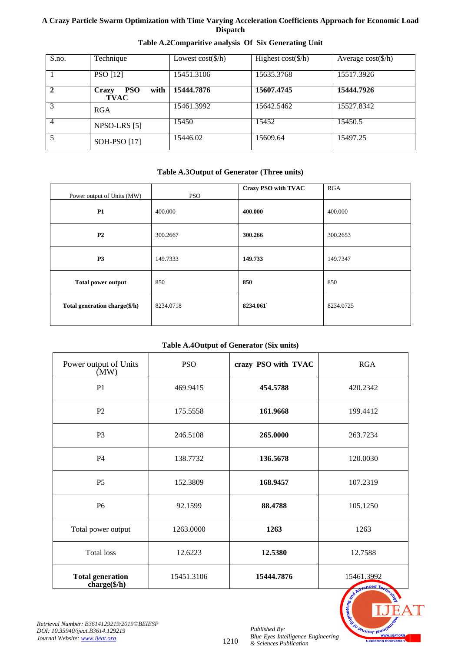| S.no.          | Technique                                         | Lowest $cost(\frac{6}{h})$ | Highest $cost(\frac{6}{h})$ | Average $cost(\frac{1}{h})$ |
|----------------|---------------------------------------------------|----------------------------|-----------------------------|-----------------------------|
|                | PSO [12]                                          | 15451.3106                 | 15635.3768                  | 15517.3926                  |
|                | <b>PSO</b><br>with<br><b>Crazy</b><br><b>TVAC</b> | 15444.7876                 | 15607.4745                  | 15444.7926                  |
|                | RGA                                               | 15461.3992                 | 15642.5462                  | 15527.8342                  |
| $\overline{4}$ | NPSO-LRS [5]                                      | 15450                      | 15452                       | 15450.5                     |
|                | SOH-PSO [17]                                      | 15446.02                   | 15609.64                    | 15497.25                    |

# **Table A.2Comparitive analysis Of Six Generating Unit**

# **Table A.3Output of Generator (Three units)**

| Power output of Units (MW)    | <b>PSO</b> | <b>Crazy PSO with TVAC</b> | RGA       |
|-------------------------------|------------|----------------------------|-----------|
| P1                            | 400.000    | 400.000                    | 400.000   |
| P <sub>2</sub>                | 300.2667   | 300.266                    | 300.2653  |
| P <sub>3</sub>                | 149.7333   | 149.733                    | 149.7347  |
| <b>Total power output</b>     | 850        | 850                        | 850       |
| Total generation charge(\$/h) | 8234.0718  | 8234.061                   | 8234.0725 |

# **Table A.4Output of Generator (Six units)**

| Power output of Units<br>(MW)                    | <b>PSO</b> | crazy PSO with TVAC | <b>RGA</b>                                  |
|--------------------------------------------------|------------|---------------------|---------------------------------------------|
| P1                                               | 469.9415   | 454.5788            | 420.2342                                    |
| P <sub>2</sub>                                   | 175.5558   | 161.9668            | 199.4412                                    |
| P <sub>3</sub>                                   | 246.5108   | 265.0000            | 263.7234                                    |
| P4                                               | 138.7732   | 136.5678            | 120.0030                                    |
| P <sub>5</sub>                                   | 152.3809   | 168.9457            | 107.2319                                    |
| P <sub>6</sub>                                   | 92.1599    | 88.4788             | 105.1250                                    |
| Total power output                               | 1263.0000  | 1263                | 1263                                        |
| <b>Total loss</b>                                | 12.6223    | 12.5380             | 12.7588                                     |
| <b>Total generation</b><br>$charge(\frac{4}{h})$ | 15451.3106 | 15444.7876          | 15461.3992<br>$\epsilon$ anced $T_{\alpha}$ |



*Retrieval Number: B3614129219/2019©BEIESP DOI: 10.35940/ijeat.B3614.129219 Journal Website[: www.ijeat.org](http://www.ijeat.org/)*

1210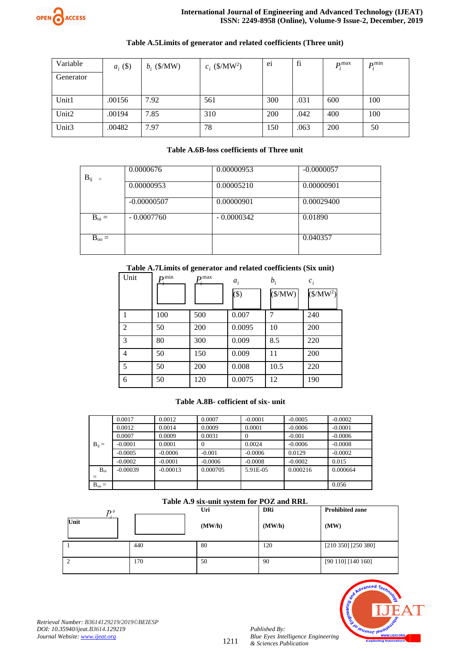

| Variable          | $a_i$ (\$) | $b_i$ (\$/MW) | $c_i$ (\$/MW <sup>2</sup> ) | e <sub>1</sub> | fi   | $P_i^{\max}$ | $P_i^{\min}$ |
|-------------------|------------|---------------|-----------------------------|----------------|------|--------------|--------------|
| Generator         |            |               |                             |                |      |              |              |
|                   |            |               |                             |                |      |              |              |
| Unit1             | .00156     | 7.92          | 561                         | 300            | .031 | 600          | 100          |
| Unit2             | .00194     | 7.85          | 310                         | 200            | .042 | 400          | 100          |
| Unit <sub>3</sub> | .00482     | 7.97          | 78                          | 150            | .063 | 200          | 50           |

# **Table A.5Limits of generator and related coefficients (Three unit)**

# **Table A.6B-loss coefficients of Three unit**

| $B_{ij}$<br>$=$ | 0.0000676     | 0.00000953   | $-0.0000057$ |
|-----------------|---------------|--------------|--------------|
|                 | 0.00000953    | 0.00005210   | 0.00000901   |
|                 | $-0.00000507$ | 0.00000901   | 0.00029400   |
| $B_{oi} =$      | $-0.0007760$  | $-0.0000342$ | 0.01890      |
| $B_{oo} =$      |               |              | 0.040357     |

# **Table A.7Limits of generator and related coefficients (Six unit)**

| Unit           | $\mathbf{D}$ min | $\mathbf{m}$ max | $a_i$<br>$($ \$) | $b_i$<br>$(\frac{M}{W})$ | $c_i$<br>$($/MW^2)$ |
|----------------|------------------|------------------|------------------|--------------------------|---------------------|
|                | 100              | 500              | 0.007            | 7                        | 240                 |
| $\overline{2}$ | 50               | 200              | 0.0095           | 10                       | 200                 |
| 3              | 80               | 300              | 0.009            | 8.5                      | 220                 |
| 4              | 50               | 150              | 0.009            | 11                       | 200                 |
| 5              | 50               | 200              | 0.008            | 10.5                     | 220                 |
| 6              | 50               | 120              | 0.0075           | 12                       | 190                 |

# **Table A.8B- cofficient of six- unit**

|                          | 0.0017     | 0.0012     | 0.0007    | $-0.0001$ | $-0.0005$ | $-0.0002$ |
|--------------------------|------------|------------|-----------|-----------|-----------|-----------|
|                          | 0.0012     | 0.0014     | 0.0009    | 0.0001    | $-0.0006$ | $-0.0001$ |
|                          | 0.0007     | 0.0009     | 0.0031    | $\Omega$  | $-0.001$  | $-0.0006$ |
| $B_{ii} =$               | $-0.0001$  | 0.0001     | $\Omega$  | 0.0024    | $-0.0006$ | $-0.0008$ |
|                          | $-0.0005$  | $-0.0006$  | $-0.001$  | $-0.0006$ | 0.0129    | $-0.0002$ |
|                          | $-0.0002$  | $-0.0001$  | $-0.0006$ | $-0.0008$ | $-0.0002$ | 0.015     |
| $B_{oi}$                 | $-0.00039$ | $-0.00013$ | 0.000705  | 5.91E-05  | 0.000216  | 0.000664  |
| $\overline{\phantom{a}}$ |            |            |           |           |           |           |
| $B_{oo} =$               |            |            |           |           |           | 0.056     |

# **Table A.9 six-unit system for POZ and RRL**

| Tuble into our unit by securi for a OEI unto refer |     |        |            |                         |  |  |  |
|----------------------------------------------------|-----|--------|------------|-------------------------|--|--|--|
| Dο                                                 |     | Uri    | <b>DRi</b> | <b>Prohibited zone</b>  |  |  |  |
| Unit                                               |     | (MW/h) | (MW/h)     | (MW)                    |  |  |  |
|                                                    | 440 | 80     | 120        | $[210 350]$ $[250 380]$ |  |  |  |
|                                                    | 170 | 50     | 90         | [90 110] [140 160]      |  |  |  |



*Retrieval Number: B3614129219/2019©BEIESP DOI: 10.35940/ijeat.B3614.129219 Journal Website[: www.ijeat.org](http://www.ijeat.org/)*

1211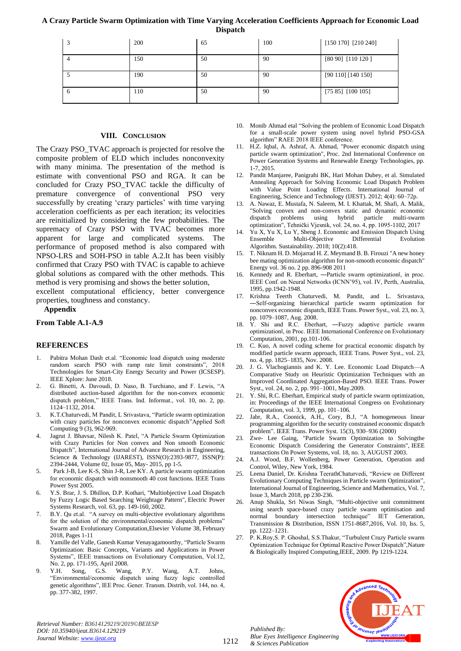| 3            | 200 | 65 | 100 | $[150 170]$ $[210 240]$ |
|--------------|-----|----|-----|-------------------------|
|              | 150 | 50 | 90  | [80 90] [110 120 ]      |
|              | 190 | 50 | 90  | [90 110] [140 150]      |
| <sub>6</sub> | 110 | 50 | 90  | $[75 85]$ $[100 105]$   |

# **VIII. CONCLUSION**

The Crazy PSO\_TVAC approach is projected for resolve the composite problem of ELD which includes nonconvexity with many minima. The presentation of the method is estimate with conventional PSO and RGA. It can be concluded for Crazy PSO\_TVAC tackle the difficulty of premature convergence of conventional PSO very successfully by creating 'crazy particles' with time varying acceleration coefficients as per each iteration; its velocities are reinitialized by considering the few probabilities. The supremacy of Crazy PSO with TVAC becomes more apparent for large and complicated systems. The performance of proposed method is also compared with NPSO-LRS and SOH-PSO in table A.2.It has been visibly confirmed that Crazy PSO with TVAC is capable to achieve global solutions as compared with the other methods. This method is very promising and shows the better solution,

excellent computational efficiency, better convergence properties, toughness and constancy.

## **Appendix**

## **From Table A.1-A.9**

# **REFERENCES**

- [Pabitra Mohan Dash](https://ieeexplore.ieee.org/author/37086114460) et.al. "Economic load dispatch using moderate random search PSO with ramp rate limit constraints", 2018 Technologies for Smart-City Energy Security and Power (ICSESP). IEEE Xplore: June 2018.
- 2. G. Binetti, A. Davoudi, D. Naso, B. Turchiano, and F. Lewis, "A distributed auction-based algorithm for the non-convex economic dispatch problem," IEEE Trans. Ind. Informat., vol. 10, no. 2, pp. 1124–1132, 2014.
- 3. K.T.Chaturvedi, M Pandit, L Srivastava, "[Particle swarm optimization](javascript:void(0))  [with crazy particles for nonconvex economic dispatch](javascript:void(0))"Applied Soft Computing 9 (3), 962-969.
- 4. Jagrut J. Bhavsar, Nilesh K. Patel, "A Particle Swarm Optimization with Crazy Particles for Non convex and Non smooth Economic Dispatch", International Journal of Advance Research in Engineering, Science & Technology (IJAREST), ISSN(O):2393-9877, ISSN(P): 2394-2444, Volume 02, Issue 05, May- 2015, pp 1-5.
- 5. Park J-B, Lee K-S, Shin J-R, Lee KY. A particle swarm optimization for economic dispatch with nonsmooth 40 cost functions. IEEE Trans Power Syst 2005.
- 6. Y.S. Brar, J. S. Dhillon, D.P. Kothari, "Multiobjective Load Dispatch by Fuzzy Logic Based Searching Weightage Pattern", Electric Power Systems Research, vol. 63, pp. 149-160, 2002.
- 7. [B.Y. Qu](https://www.sciencedirect.com/science/article/abs/pii/S2210650216301493#!) et.al. "A survey on multi-objective evolutionary algorithms for the solution of the environmental/economic dispatch problems" [Swarm and Evolutionary Computation,E](https://www.sciencedirect.com/science/journal/22106502)lsevier [Volume 38,](https://www.sciencedirect.com/science/journal/22106502/38/supp/C) February 2018, Pages 1-11
- 8. Yamille del Valle, Ganesh Kumar Venayagamoorthy, "Particle Swarm Optimization: Basic Concepts, Variants and Applications in Power Systems", IEEE transactions on Evolutionary Computation, Vol.12,
- No. 2, pp. 171-195, April 2008. 9. Y.H. Song, G.S. Wang, P.Y. Wang, A.T. Johns, "Environmental/economic dispatch using fuzzy logic controlled genetic algorithms", IEE Proc. Gener. Transm. Distrib, vol. 144, no. 4, pp. 377-382, 1997.

*Retrieval Number: B3614129219/2019©BEIESP DOI: 10.35940/ijeat.B3614.129219 Journal Website[: www.ijeat.org](http://www.ijeat.org/)*

- 10. Monib Ahmad etal "Solving the problem of Economic Load Dispatch for a small-scale power system using novel hybrid PSO-GSA algorithm" RAEE 2018 IEEE conference.
- 11. H.Z. Iqbal, A. Ashraf, A. Ahmad, "Power economic dispatch using particle swarm optimization", Proc. 2nd International Conference on Power Generation Systems and Renewable Energy Technologies, pp. 1-7, 2015.
- 12. Pandit Manjaree, Panigrahi BK, Hari Mohan Dubey, et al. Simulated Annealing Approach for Solving Economic Load Dispatch Problem with Value Point Loading Effects. International Journal of Engineering, Science and Technology (IJEST). 2012; 4(4): 60–72p.
- 13. A. Nawaz, E. Mustafa, N. Saleem, M. I. Khattak, M. Shafi, A. Malik, "Solving convex and non-convex static and dynamic economic dispatch problems using hybrid particle multi-swarm optimization", Tehnički Vjesnik, vol. 24, no. 4, pp. 1095-1102, 2017
- Yu X, Yu X, Lu Y, Sheng J. Economic and Emission Dispatch Using Ensemble Multi-Objective Differential Evolution Algorithm. Sustainability. 2018; 10(2):418.
- 15. T. Niknam H. D. Mojarrad H. Z. Meymand B. B. Firouzi "A new honey bee mating optimization algorithm for non-smooth economic dispatch" Energy vol. 36 no. 2 pp. 896-908 2011
- 16. Kennedy and R. Eberhart, -Particle swarm optimizationl, in proc. IEEE Conf. on Neural Networks (ICNN'95), vol. IV, Perth, Australia, 1995, pp.1942-1948.
- 17. Krishna Teerth Chaturvedi, M. Pandit, and L. Srivastava, ―Self-organizing hierarchical particle swarm optimization for nonconvex economic dispatch, IEEE Trans. Power Syst., vol. 23, no. 3, pp. 1079–1087, Aug. 2008.
- 18. Y. Shi and R.C. Eberhart, ―Fuzzy adaptive particle swarm optimization‖, in Proc. IEEE International Conference on Evolutionary Computation, 2001, pp.101-106.
- 19. C. Kuo, A novel coding scheme for practical economic dispatch by modified particle swarm approach, IEEE Trans. Power Syst., vol. 23, no. 4, pp. 1825–1835, Nov. 2008.
- 20. J. G. Vlachogiannis and K. Y. Lee. Economic Load Dispatch—A Comparative Study on Heuristic Optimization Techniques with an Improved Coordinated Aggregation-Based PSO. IEEE Trans. Power Syst., vol. 24, no. 2, pp. 991–1001, May.2009.
- 21. Y. Shi, R.C. Eberhart, Empirical study of particle swarm optimization, in: Proceedings of the IEEE International Congress on Evolutionary Computation, vol. 3, 1999, pp. 101–106.
- 22. Jabr, R.A., Coonick, A.H., Cory, B.J, "A homogeneous linear programming algorithm for the security constrained economic dispatch problem". IEEE Trans. Power Syst. 15(3), 930–936 (2000)
- 23. Zwe- Lee Gaing, "Particle Swarm Optimization to Solvingthe Economic Dispatch Considering the Generator Constraints", IEEE transactions On Power Systems, vol. 18, no. 3, AUGUST 2003.
- 24. A.J. Wood, B.F. Wollenberg, Power Generation, Operation and Control, Wiley, New York, 1984.
- 25. Leena Daniel, Dr. Krishna TeerathChaturvedi, "Review on Different Evolutionary Computing Techniques in Particle swarm Optimization", International Journal of Engineering, Science and Mathematics, Vol. 7, Issue 3, March 2018, pp 230-236.
- 26. Anup Shukla, Sri Niwas Singh, "Multi-objective unit commitment using search space-based crazy particle swarm optimisation and normal boundary intersection technique" IET Generation, Transmission & Distribution, ISSN 1751-8687,2016, Vol. 10, Iss. 5, pp. 1222–1231.
- 27. P. K.Roy,S. P. Ghoshal, S.S.Thakur, "Turbulent Crazy Particle swarm Optimization Technique for Optimal Reactive Power Dispatch",[Nature](https://ieeexplore.ieee.org/xpl/mostRecentIssue.jsp?punumber=5377996)  [& Biologically Inspired Computing,IEEE, 2009. P](https://ieeexplore.ieee.org/xpl/mostRecentIssue.jsp?punumber=5377996)p 1219-1224.

*Published By: Blue Eyes Intelligence Engineering & Sciences Publication* 

1212